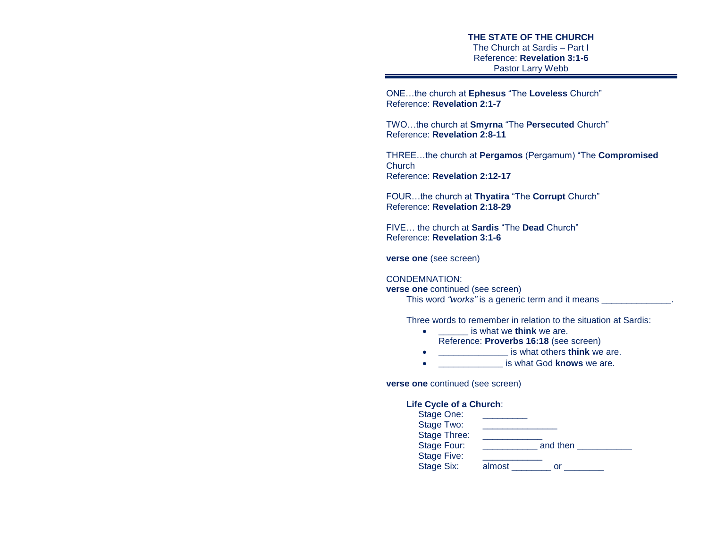**THE STATE OF THE CHURCH** The Church at Sardis – Part I Reference: **Revelation 3:1-6** Pastor Larry Webb

ONE…the church at **Ephesus** "The **Loveless** Church" Reference: **Revelation 2:1-7** 

TWO…the church at **Smyrna** "The **Persecuted** Church" Reference: **Revelation 2:8-11**

THREE…the church at **Pergamos** (Pergamum) "The **Compromised Church** Reference: **Revelation 2:12-17**

FOUR…the church at **Thyatira** "The **Corrupt** Church" Reference: **Revelation 2:18-29** 

FIVE… the church at **Sardis** "The **Dead** Church" Reference: **Revelation 3:1-6**

**verse one** (see screen)

### CONDEMNATION:

**verse one** continued (see screen) This word "works" is a generic term and it means  $\blacksquare$ 

Three words to remember in relation to the situation at Sardis:

- **\_\_\_\_\_\_** is what we **think** we are. Reference: **Proverbs 16:18** (see screen)
- **\_\_\_\_\_\_\_\_\_\_\_\_\_\_** is what others **think** we are.
- **\_\_\_\_\_\_\_\_\_\_\_\_\_** is what God **knows** we are.

**verse one** continued (see screen)

### **Life Cycle of a Church**:

| Stage One:          |        |          |
|---------------------|--------|----------|
| Stage Two:          |        |          |
| <b>Stage Three:</b> |        |          |
| Stage Four:         |        | and then |
| <b>Stage Five:</b>  |        |          |
| Stage Six:          | almost | or       |